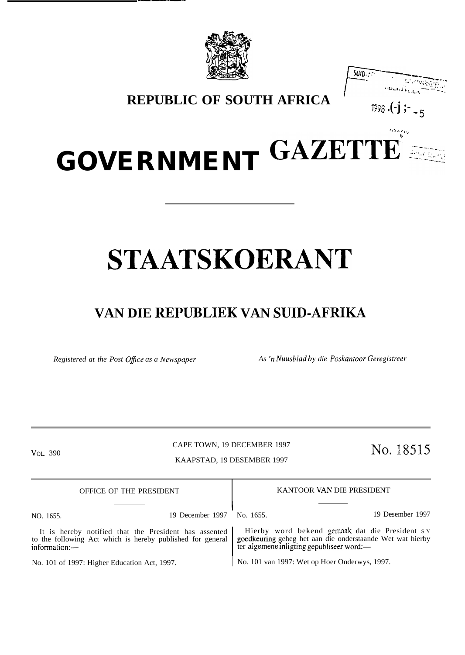

\_. .



**REPUBLIC OF SOUTH AFRICA**  $\begin{bmatrix} 1 & 0 & 0 \\ 0 & 0 & 0 \\ 0 & 0 & 0 \end{bmatrix}$ 

,<br>20. nov

# **GOVERNMENT GAZETTE'' ;:-:--**

## **STAATSKOERANT**

## **VAN DIE REPUBLIEK VAN SUID-AFRIKA**

*Registered at the Post Office as a Newspaper As 'n Nuusblad by die Poskantoor Geregistreer* 

CAPE TOWN, 19 DECEMBER 1997 VOL. 390 CAPE TOWN, 19 DECEMBER 1997 NO. 18515

KAAPSTAD, 19 DESEMBER 1997

| OFFICE OF THE PRESIDENT                                                                                                              | KANTOOR VAN DIE PRESIDENT                                                                                                                                |  |  |
|--------------------------------------------------------------------------------------------------------------------------------------|----------------------------------------------------------------------------------------------------------------------------------------------------------|--|--|
|                                                                                                                                      |                                                                                                                                                          |  |  |
| 19 December 1997<br>NO. 1655.                                                                                                        | 19 Desember 1997<br>No. 1655.                                                                                                                            |  |  |
| It is hereby notified that the President has assented<br>to the following Act which is hereby published for general<br>information:- | Hierby word bekend gemaak dat die President sy<br>goedkeuring geheg het aan die onderstaande Wet wat hierby<br>ter algemene inligting gepubliseer word:— |  |  |
| No. 101 of 1997: Higher Education Act, 1997.                                                                                         | No. 101 van 1997: Wet op Hoer Onderwys, 1997.                                                                                                            |  |  |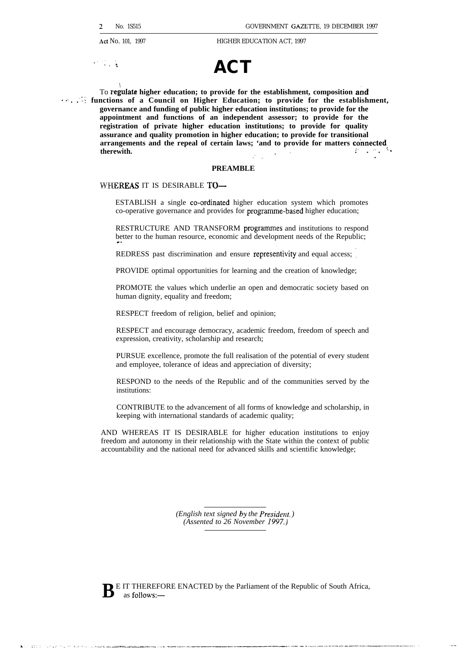./.



To regulate higher education; to provide for the establishment, composition and **12. 13. functions of a Council on Higher Education; to provide for the establishment, governance and funding of public higher education institutions; to provide for the appointment and functions of an independent assessor; to provide for the registration of private higher education institutions; to provide for quality** assurance and quality promotion in higher education; to provide for transitional arrangements and the repeal of certain laws; 'and to provide for matters connentently. arrangements and the repeal of certain laws; 'and to provide for matters connected therewith. **. . . - ,.. .**

#### **PREAMBLE**

#### WHEREAS IT IS DESIRABLE TO-

ESTABLISH a single co-ordlnated higher education system which promotes co-operative governance and provides for prograrmne-based higher education;

RESTRUCTURE AND TRANSFORM programmes and institutions to respond better to the human resource, economic and development needs of the Republic;

REDRESS past discrimination and ensure representivity and equal access;

PROVIDE optimal opportunities for learning and the creation of knowledge;

PROMOTE the values which underlie an open and democratic society based on human dignity, equality and freedom;

RESPECT freedom of religion, belief and opinion;

RESPECT and encourage democracy, academic freedom, freedom of speech and expression, creativity, scholarship and research;

PURSUE excellence, promote the full realisation of the potential of every student and employee, tolerance of ideas and appreciation of diversity;

RESPOND to the needs of the Republic and of the communities served by the institutions:

CONTRIBUTE to the advancement of all forms of knowledge and scholarship, in keeping with international standards of academic quality;

AND WHEREAS IT IS DESIRABLE for higher education institutions to enjoy freedom and autonomy in their relationship with the State within the context of public accountability and the national need for advanced skills and scientific knowledge;

> *(English text signed by the President.) (Assented to 26 November 1997.)*



**B** E IT THEREFORE ENACTED by the Parliament of the Republic of South Africa, as follows: as follows:-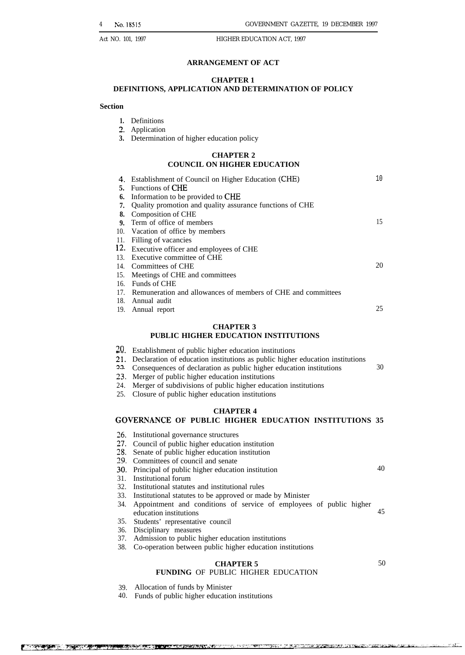#### **ARRANGEMENT OF ACT**

#### **CHAPTER 1**

#### **DEFINITIONS, APPLICATION AND DETERMINATION OF POLICY**

#### **Section**

- **1.** Definitions
- 2. Application
- **3.** Determination of higher education policy

#### **CHAPTER 2 COUNCIL ON HIGHER EDUCATION**

|     | Establishment of Council on Higher Education (CHE)               | 10 |
|-----|------------------------------------------------------------------|----|
|     | 5. Functions of CHE                                              |    |
| 6.  | Information to be provided to CHE                                |    |
| 7.  | Quality promotion and quality assurance functions of CHE         |    |
| 8.  | Composition of CHE                                               |    |
|     | 9. Term of office of members                                     | 15 |
| 10. | Vacation of office by members                                    |    |
| 11. | Filling of vacancies                                             |    |
|     | 12. Executive officer and employees of CHE                       |    |
| 13. | Executive committee of CHE                                       |    |
|     | 14. Committees of CHE                                            | 20 |
| 15. | Meetings of CHE and committees                                   |    |
| 16. | Funds of CHE                                                     |    |
|     | 17. Remuneration and allowances of members of CHE and committees |    |
|     | 18. Annual audit                                                 |    |
|     | 19. Annual report                                                | 25 |
|     |                                                                  |    |

#### **CHAPTER 3**

#### **PUBLIC HIGHER EDUCATION INSTITUTIONS**

- 20. Establishment of public higher education institutions
- 21. Declaration of education institutions as public higher education institutions
- 22 Consequences of declaration as public higher education institutions 30
- 23. Merger of public higher education institutions
- 24. Merger of subdivisions of public higher education institutions
- 25. Closure of public higher education institutions

#### **CHAPTER 4**

#### GOVERNANCE OF PUBLIC HIGHER EDUCATION INSTITUTIONS 35

- 26. Institutional governance structures
- 27. Council of public higher education institution
- 28. Senate of public higher education institution
- 79 Committees of council and senate
- 30. Principal of public higher education institution
- 31. Institutional forum
- 32. Institutional statutes and institutional rules
- 33. Institutional statutes to be approved or made by Minister
- 34. Appointment and conditions of service of employees of public higher education institutions 45
- 35. Students' representative council
- 36. Disciplinary measures
- 37. Admission to public higher education institutions
- 38. Co-operation between public higher education institutions

#### **CHAPTER 5 FUNDING** OF PUBLIC HIGHER EDUCATION

40

39. Allocation of funds by Minister

40. Funds of public higher education institutions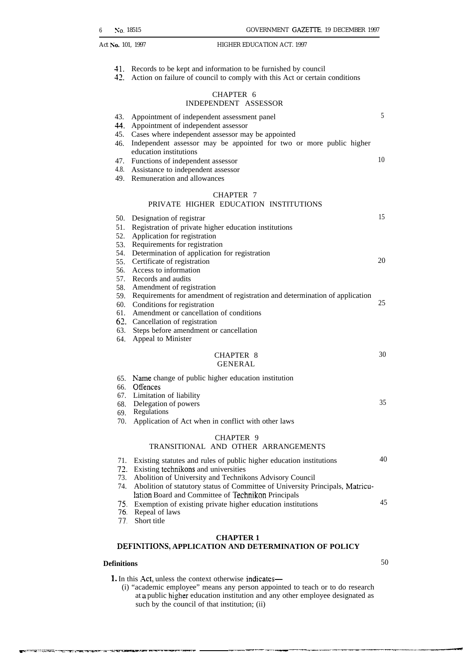- 41. Records to be kept and information to be furnished by council
- 42. Action on failure of council to comply with this Act or certain conditions

#### CHAPTER 6 INDEPENDENT ASSESSOR

| 43.               | Appointment of independent assessment panel<br>44. Appointment of independent assessor                                                                 | 5  |
|-------------------|--------------------------------------------------------------------------------------------------------------------------------------------------------|----|
| 46.               | 45. Cases where independent assessor may be appointed<br>Independent assessor may be appointed for two or more public higher<br>education institutions |    |
|                   | 47. Functions of independent assessor                                                                                                                  | 10 |
| 4.8.              | Assistance to independent assessor                                                                                                                     |    |
|                   | 49. Remuneration and allowances                                                                                                                        |    |
|                   | <b>CHAPTER 7</b><br>PRIVATE HIGHER EDUCATION INSTITUTIONS                                                                                              |    |
| 50.<br>51.<br>52. | Designation of registrar<br>Registration of private higher education institutions<br>Application for registration                                      | 15 |
| 53.               | Requirements for registration                                                                                                                          |    |
| 54.               | Determination of application for registration                                                                                                          |    |
| 55.               | Certificate of registration                                                                                                                            | 20 |
| 56.               | Access to information                                                                                                                                  |    |
|                   | 57. Records and audits                                                                                                                                 |    |
|                   | 58. Amendment of registration                                                                                                                          |    |
|                   | 59. Requirements for amendment of registration and determination of application                                                                        | 25 |
|                   | 60. Conditions for registration<br>61. Amendment or cancellation of conditions                                                                         |    |
|                   | 62. Cancellation of registration                                                                                                                       |    |
|                   | 63. Steps before amendment or cancellation                                                                                                             |    |
| 64.               | Appeal to Minister                                                                                                                                     |    |
|                   |                                                                                                                                                        | 30 |
|                   | CHAPTER 8<br><b>GENERAL</b>                                                                                                                            |    |
|                   |                                                                                                                                                        |    |
|                   | 65. Name change of public higher education institution                                                                                                 |    |
|                   | 66. Offences<br>67. Limitation of liability                                                                                                            |    |
|                   | 68. Delegation of powers                                                                                                                               | 35 |
| 69.               | Regulations                                                                                                                                            |    |
| 70.               | Application of Act when in conflict with other laws                                                                                                    |    |
|                   | CHAPTER 9                                                                                                                                              |    |
|                   | TRANSITIONAL AND OTHER ARRANGEMENTS                                                                                                                    |    |
| 71.               | Existing statutes and rules of public higher education institutions                                                                                    | 40 |
|                   | 72. Existing technikons and universities                                                                                                               |    |
| 73.               | Abolition of University and Technikons Advisory Council                                                                                                |    |
| 74.               | Abolition of statutory status of Committee of University Principals, Matricu-                                                                          |    |
|                   | lation Board and Committee of Technikon Principals                                                                                                     |    |
| 75.               | Exemption of existing private higher education institutions                                                                                            | 45 |
| 76.               | Repeal of laws                                                                                                                                         |    |
| 77.               | Short title                                                                                                                                            |    |

## **CHAPTER 1**

#### **DEFIhTTIONS, APPLICATION AND DETERMINATION OF POLICY**

-- m-... .--,-.-..=- .=..-— -——--,-. .-——'—. —— —--—..... .—— .—\_.\_.—\_—.. -.———.——.—

#### **Definitions** 50

1. In this Act, unless the context otherwise indicates—

(i) "academic employee" means any person appointed to teach or to do research at a public higher education institution and any other employee designated as such by the council of that institution; (ii)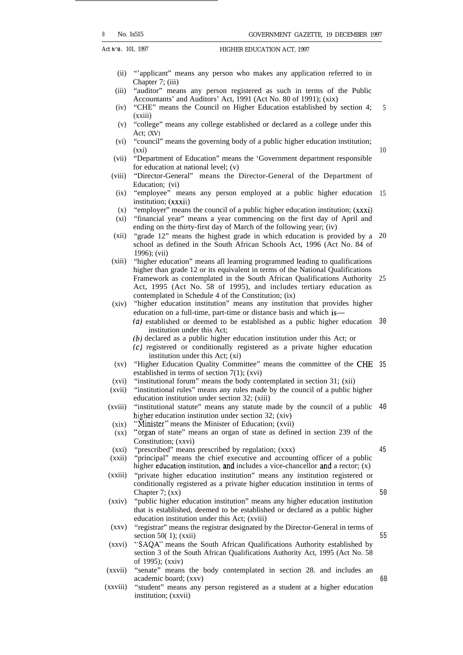Act **h'O.** 101, 1997 **HIGHER EDUCATION ACT**, 1997

- (ii) "'applicant" means any person who makes any application referred to in Chapter 7; (iii)
- (iii) "auditor" means any person registered as such in terms of the Public Accountants' and Auditors' Act, 1991 (Act No. 80 of 1991); (xix)
- (iv) "CHE" means the Council on Higher Education established by section 4;  $(xxiii)$ 5
- (v) "college" means any college established or declared as a college under this Act; (XV)
- (vi) "council" means the governing body of a public higher education institution; (xxi)
- (vii) "Department of Education" means the 'Government department responsible for education at national level; (v)
- (viii) "Director-General" means the Director-General of the Department of Education; (vi)
	- $(ix)$ "employee" means any person employed at a public higher education 15 institution; (xxxii)
	- $(x)$ "employer" means the council of a public higher education institution; (xxxi)
- $(xi)$ "financial year" means a year commencing on the first day of April and ending on the thirty-first day of March of the following year; (iv)
- $(xii)$ "grade 12" means the highest grade in which education is provided by a school as defined in the South African Schools Act, 1996 (Act No. 84 of 1996); (vii) 20
- $(xiii)$ "higher education" means all learning programmed leading to qualifications higher than grade 12 or its equivalent in terms of the National Qualifications Framework as contemplated in the South African Qualifications Authority Act, 1995 (Act No. 58 of 1995), and includes tertiary education as contemplated in Schedule 4 of the Constitution; (ix) 25
- (xiv) "higher education institution" means any institution that provides higher education on a full-time, part-time or distance basis and which is—
	- (a) established or deemed to be established as a public higher education 30 institution under this Act;
	- (b) declared as a public higher education institution under this Act; or
	- (c) registered or conditionally registered as a private higher education institution under this Act; (xi)
- (xv) "Higher Education Quality Committee" means the committee of the CHE 35 established in terms of section 7(1); (xvi)
- (xvi) "institutional forum" means the body contemplated in section 31; (xii)
- (xvii) "institutional rules" means any rules made by the council of a public higher education institution under section 32; (xiii)
- (xviii) "institutional statute" means any statute made by the council of a public 40 higher education institution under section 32; (xiv)
- $(xix)$ "Minister" means the Minister of Education; (xvii)
- $(xx)$ "organ of state" means an organ of state as defined in section 239 of the Constitution; (xxvi)
- (xxi) "prescribed" means prescribed by regulation; (xxx)

(xxii)

"principal" means the chief executive and accounting officer of a public

(xxiii) higher education institution, and includes a vice-chancellor and a rector;  $(x)$ "private higher education institution" means any institution registered or

- conditionally registered as a private higher education institution in terms of Chapter 7; (xx)
- (xxiv) "public higher education institution" means any higher education institution that is established, deemed to be established or declared as a public higher education institution under this Act; (xviii)
- (xxv) "registrar" means the registrar designated by the Director-General in terms of section 50 $(1)$ ; (xxii)
- (xxvi) "SAQA" means the South African Qualifications Authority established by section 3 of the South African Qualifications Authority Act, 1995 (Act No. 58 of 1995); (xxiv)
- (xxvii) "senate" means the body contemplated in section 28. and includes an academic board; (xxv)
- (xxviii) "student" means any person registered as a student at a higher education institution; (xxvii)

10

45

50

55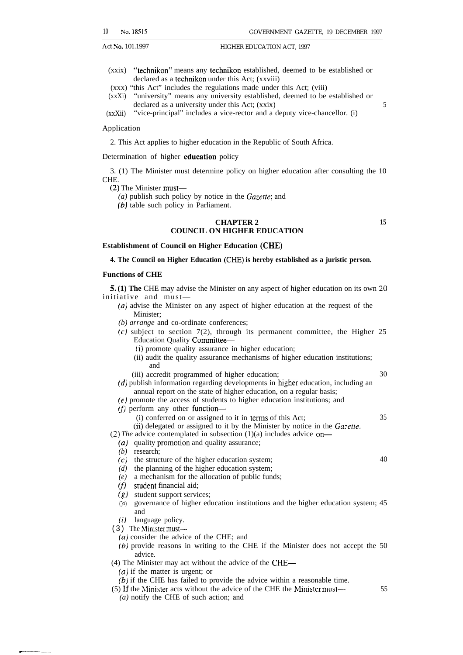- (xxix) "technikon" means any (echnikon established, deemed to be established or declared as a technikon under this Act; (xxviii)
- (xxx) "this Act" includes the regulations made under this Act; (viii)
- (xxXi) "university" means any university established, deemed to be established or declared as a university under this Act; (xxix) 5

(xxXii) "vice-principal" includes a vice-rector and a deputy vice-chancellor. (i)

#### Application

2. This Act applies to higher education in the Republic of South Africa.

#### Determination of higher education policy

3. (1) The Minister must determine policy on higher education after consulting the 10 CHE.

(2) The Minister must—

- *(a)* publish such policy by notice in the *Gazette;* and
- (b) table such policy in Parliament.

#### **CHAPTER 2 15 COUNCIL ON HIGHER EDUCATION**

#### **Establishment of Council on Higher Education (CHE)**

#### **4. The Council on Higher Education (CHE) is hereby established as a juristic person.**

#### **Functions of CHE**

**5. (1) The** CHE may advise the Minister on any aspect of higher education on its own 20 initiative and must—

- *(a)* advise the Minister on any aspect of higher education at the request of the Minister;
- *(b) arrange* and co-ordinate conferences;
- $(c)$  subject to section 7(2), through its permanent committee, the Higher 25 Education Quality Committee—
	- (i) promote quality assurance in higher education;
	- (ii) audit the quality assurance mechanisms of higher education institutions; and
- (iii) accredit programmed of higher education; 30 (d) publish information regarding developments in higher education, including an
- annual report on the state of higher education, on a regular basis; (e) promote the access of students to higher education institutions; and
- 
- $(f)$  perform any other function-
	- $(i)$  conferred on or assigned to it in terms of this Act;  $35$

(ii) delegated or assigned to it by the Minister by notice in the *Ga:erre.*

*(2) The* advice contemplated in subsection (1)(a) includes advice on—

- *(a)* quality promotion and quality assurance;
- *(b)* research;
- *(c)* the structure of the higher education system; 40
- *(d)* the planning of the higher education system;
- *(e)* a mechanism for the allocation of public funds;
- (f) student financial aid;
- *(g)* student support services;
- **(}1)** governance of higher education institutions and the higher education system; 45 and
- *(i)* language policy.

--—. —.—

- $(3)$  The Minister must—
	- *(a)* consider the advice of the CHE; and
	- *(b)* provide reasons in writing to the CHE if the Minister does not accept the 50 advice.
- (4) The Minister may act without the advice of the CHE—
	- *(a)* if the matter is urgent; or
	- *(b)* if the CHE has failed to provide the advice within a reasonable time.
- $(5)$  If the Minister acts without the advice of the CHE the Minister must—  $55$ 
	- *(a)* notify the CHE of such action; and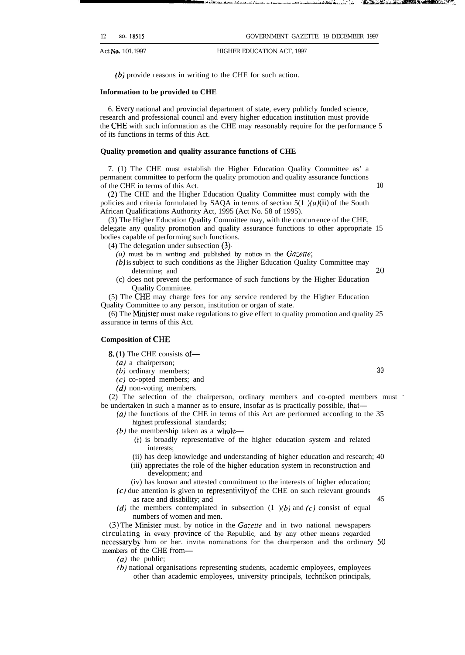12 so. 18515 GOVERNMENT GAZETTE. 19 DECEMBER 1997

Act **No.** 101.1997 **HIGHER EDUCATION ACT, 1997** 

(b) provide reasons in writing to the CHE for such action.

#### **Information to be provided to CHE**

6. Every national and provincial department of state, every publicly funded science, research and professional council and every higher education institution must provide the CHE with such information as the CHE may reasonably require for the performance 5 of its functions in terms of this Act.

#### **Quality promotion and quality assurance functions of CHE**

7. (1) The CHE must establish the Higher Education Quality Committee as' a permanent committee to perform the quality promotion and quality assurance functions of the CHE in terms of this Act. 10

(2) The CHE and the Higher Education Quality Committee must comply with the policies and criteria formulated by SAQA in terms of section  $5(1)$ (a)(ii) of the South African Qualifications Authority Act, 1995 (Act No. 58 of 1995).

(3) The Higher Education Quality Committee may, with the concurrence of the CHE, delegate any quality promotion and quality assurance functions to other appropriate 15 bodies capable of performing such functions.

(4) The delegation under subsection (3)—

- *(a)* must be in writing and published by notice in the *Ga:ette;*
- *(b)* is subject to such conditions as the Higher Education Quality Committee may determine; and 20
- (c) does not prevent the performance of such functions by the Higher Education Quality Committee.

(5) The CHE may charge fees for any service rendered by the Higher Education Quality Committee to any person, institution or organ of state.

(6) The Minister must make regulations to give effect to quality promotion and quality  $25$ assurance in terms of this Act.

#### **Composition of CHE**

8. **(1)** The CHE consists of—

- *(a)* a chairperson;
- (b) ordinary members; 30
- (c) co-opted members; and
- $(d)$  non-voting members.

(2) The selection of the chairperson, ordinary members and co-opted members must ' be undertaken in such a manner as to ensure, insofar as is practically possible, that—

- (a) the functions of the CHE in terms of this Act are performed according to the 35 highest professional standards;
- (b) the membership taken as a whole—
	- (i) is broadly representative of the higher education system and related interests;
	- (ii) has deep knowledge and understanding of higher education and research; 40
	- (iii) appreciates the role of the higher education system in reconstruction and development; and
	- (iv) has known and attested commitment to the interests of higher education;
- (c) due attention is given to representivity of the CHE on such relevant grounds as race and disability; and 45
- (d) the members contemplated in subsection  $(1)$   $(b)$  and  $(c)$  consist of equal numbers of women and men.

(3) The Nlinister must. by notice in the *Ga:etfe* and in two national newspapers circulating in every province of the Republic, and by any other means regarded necessary by him or her. invite nominations for the chairperson and the ordinary  $50$ members of the CHE from—

- *(a)* the public;
- *(b)* national organisations representing students, academic employees, employees other than academic employees, university principals, technikon principals,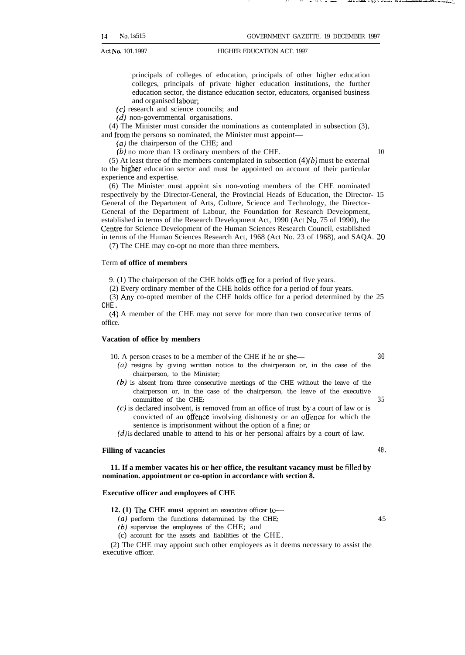principals of colleges of education, principals of other higher education colleges, principals of private higher education institutions, the further education sector, the distance education sector, educators, organised business

- and organised labour:
- (c) research and science councils; and
- *(d)* non-governmental organisations.

(4) The Minister must consider the nominations as contemplated in subsection (3), and from the persons so nominated, the Minister must appoint—

(a) the chairperson of the CHE; and

(b) no more than 13 ordinary members of the CHE. 10

(5) At least three of the members contemplated in subsection  $(4)(b)$  must be external to the higher education sector and must be appointed on account of their particular experience and expertise.

(6) The Minister must appoint six non-voting members of the CHE nominated respectively by the Director-General, the Provincial Heads of Education, the Director- 15 General of the Department of Arts, Culture, Science and Technology, the Director-General of the Department of Labour, the Foundation for Research Development, established in terms of the Research Development Act, 1990 (Act No. 75 of 1990), the Centre for Science Development of the Human Sciences Research Council, established in terms of the Human Sciences Research Act, 1968 (Act No. 23 of 1968), and SAQA. 20

(7) The CHE may co-opt no more than three members.

#### Term **of office of members**

9. (1) The chairperson of the CHE holds office for a period of five years.

(2) Every ordinary member of the CHE holds office for a period of four years.

(3) Any co-opted member of the CHE holds office for a period determined by the 25 CHE.

(4) A member of the CHE may not serve for more than two consecutive terms of office.

#### **Vacation of office by members**

10. A person ceases to be a member of the CHE if he or she— 30

- *(a)* resigns by giving written notice to the chairperson or, in the case of the chairperson, to the Minister;
- (b) is absent from three consecutive meetings of the CHE without the leave of the chairperson or, in the case of the chairperson, the leave of the executive committee of the CHE; 35
- (c) is declared insolvent, is removed from an office of trust by a court of law or is convicted of an offence involving dishonesty or an offence for which the sentence is imprisonment without the option of a fine; or

*(d)* is declared unable to attend to his or her personal affairs by a court of law.

#### **Filling of vacancies** 40.

**11. If a member vacates his or her office, the resultant vacancy must be filled by nomination. appointment or co-option in accordance with section 8.**

#### **Executive officer and employees of CHE**

**12. (1) The CHE must** appoint an executive officer to—

(a) perform the functions determined by the CHE; 45

- (b) supervise the employees of the CHE; and
- (c) account for the assets and liabilities of the CHE.

(2) The CHE may appoint such other employees as it deems necessary to assist the executive officer.

. . . . . .. . . .=. .: .,%.. ,.. A.- A... ,—-... ..... . ..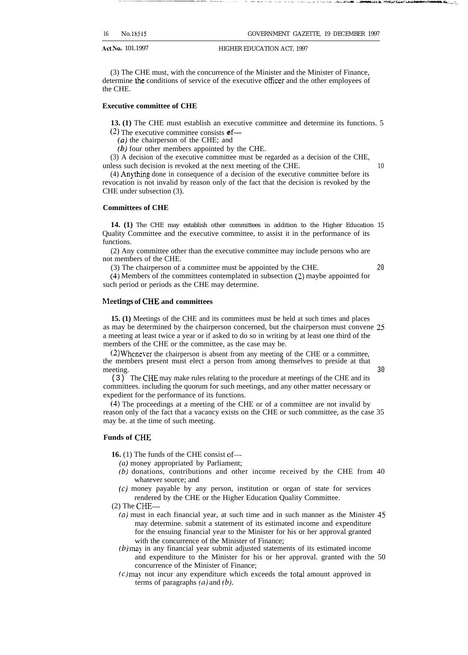| 16<br>No.18515 |
|----------------|
|----------------|

GOVERNMENT GAZETTE, 19 DECEMBER 1997

Act No. 101.1997 HIGHER EDUCATION ACT, 1997

(3) The CHE must, with the concurrence of the Minister and the Minister of Finance, determine the conditions of service of the executive officer and the other employees of the CHE.

#### **Executive committee of CHE**

**13. (1)** The CHE must establish an executive committee and determine its functions. 5

(2) The executive committee consists  $\mathfrak{of}$ —

(a) the chairperson of the CHE; and

(b) four other members appointed by the CHE.

(3) A decision of the executive committee must be regarded as a decision of the CHE, unless such decision is revoked at the next meeting of the CHE. 10

 $(4)$  Anything done in consequence of a decision of the executive committee before its revocation is not invalid by reason only of the fact that the decision is revoked by the CHE under subsection (3).

#### **Committees of CHE**

**14. (1)** The CHE may establish other committees in addition to the Higher Education 15 Quality Committee and the executive committee, to assist it in the performance of its functions.

(2) Any committee other than the executive committee may include persons who are not members of the CHE.

(3) The chairperson of a committee must be appointed by the CHE. 20

(4) Members of the committees contemplated in subsection (2) maybe appointed for such period or periods as the CHE may determine.

#### **Nleetings of CHE and committees**

**15. (1)** Meetings of the CHE and its committees must be held at such times and places as may be determined by the chairperson concerned, but the chairperson must convene 25 a meeting at least twice a year or if asked to do so in writing by at least one third of the members of the CHE or the committee, as the case may be.

 $(2)$  Whenever the chairperson is absent from any meeting of the CHE or a committee, the members present must elect a person from among themselves to preside at that meeting. 30

(3) The CHE may make rules relating to the procedure at meetings of the CHE and its committees. including the quorum for such meetings, and any other matter necessary or expedient for the performance of its functions.

(4) The proceedings at a meeting of the CHE or of a committee are not invalid by reason only of the fact that a vacancy exists on the CHE or such committee, as the case 35 may be. at the time of such meeting.

#### **Funds of CHE**

**16.** (1) The funds of the CHE consist of—

- *(a)* money appropriated by Parliament;
- $(b)$  donations, contributions and other income received by the CHE from 40 whatever source; and
- $(c)$  money payable by any person, institution or organ of state for services rendered by the CHE or the Higher Education Quality Committee.

- (a) must in each financial year, at such time and in such manner as the Minister 45 may determine. submit a statement of its estimated income and expenditure for the ensuing financial year to the Minister for his or her approval granted with the concurrence of the Minister of Finance;
- (b) may in any financial year submit adjusted statements of its estimated income and expenditure to the Minister for his or her approval. granted with the 50 concurrence of the Minister of Finance;
- $(c)$  may not incur any expenditure which exceeds the total amount approved in terms of paragraphs *(a)* and (b).

<sup>(2)</sup> The CHE—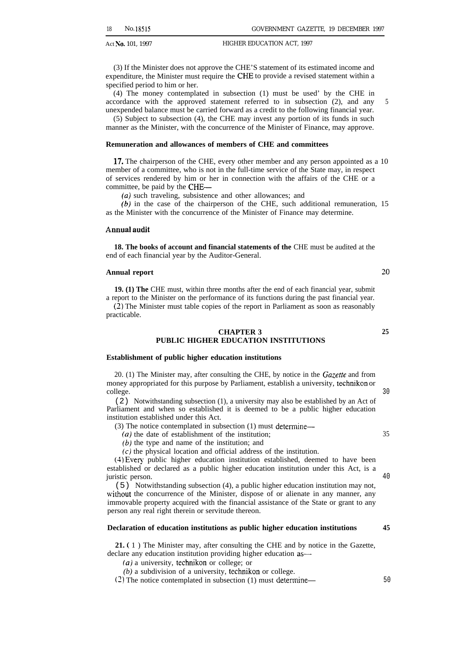(3) If the Minister does not approve the CHE'S statement of its estimated income and expenditure, the Minister must require the CHE to provide a revised statement within a specified period to him or her.

(4) The money contemplated in subsection (1) must be used' by the CHE in accordance with the approved statement referred to in subsection (2), and any unexpended balance must be carried forward as a credit to the following financial year.

(5) Subject to subsection (4), the CHE may invest any portion of its funds in such manner as the Minister, with the concurrence of the Minister of Finance, may approve.

#### **Remuneration and allowances of members of CHE and committees**

17. The chairperson of the CHE, every other member and any person appointed as a 10 member of a committee, who is not in the full-time service of the State may, in respect of services rendered by him or her in connection with the affairs of the CHE or a committee, be paid by the CHE—

*(a)* such traveling, subsistence and other allowances; and

(b) in the case of the chairperson of the CHE, such additional remuneration, 15 as the Minister with the concurrence of the Minister of Finance may determine.

#### Annual audit

**18. The books of account and financial statements of the CHE must be audited at the** end of each financial year by the Auditor-General.

#### **Annual report**

**19. (1) The** CHE must, within three months after the end of each financial year, submit a report to the Minister on the performance of its functions during the past financial year.

(2) The Minister must table copies of the report in Parliament as soon as reasonably practicable.

#### **CHAPTER 3 25 PUBLIC HIGHER EDUCATION INSTITUTIONS**

#### **Establishment of public higher education institutions**

20. (1) The Minister may, after consulting the CHE, by notice in the Gazette and from money appropriated for this purpose by Parliament, establish a university, technikon or college. 30

(2) Notwithstanding subsection (1), a university may also be established by an Act of Parliament and when so established it is deemed to be a public higher education institution established under this Act.

(3) The notice contemplated in subsection (1) must determine-

(a) the date of establishment of the institution; 35

 $(b)$  the type and name of the institution; and

(c) the physical location and official address of the institution.

(4) Every public higher education institution established, deemed to have been established or declared as a public higher education institution under this Act, is a juristic person. 40

(5) Notwithstanding subsection (4), a public higher education institution may not, without the concurrence of the Minister, dispose of or alienate in any manner, any immovable property acquired with the financial assistance of the State or grant to any person any real right therein or servitude thereon.

#### **Declaration of education institutions as public higher education institutions 45**

**21. (** 1 ) The Minister may, after consulting the CHE and by notice in the Gazette, declare any education institution providing higher education as—

*(a)* a university, technikon or college; or

*(b)* a subdivision of a university, technikon or college.

(2) The notice contemplated in subsection (1) must determine— 50

20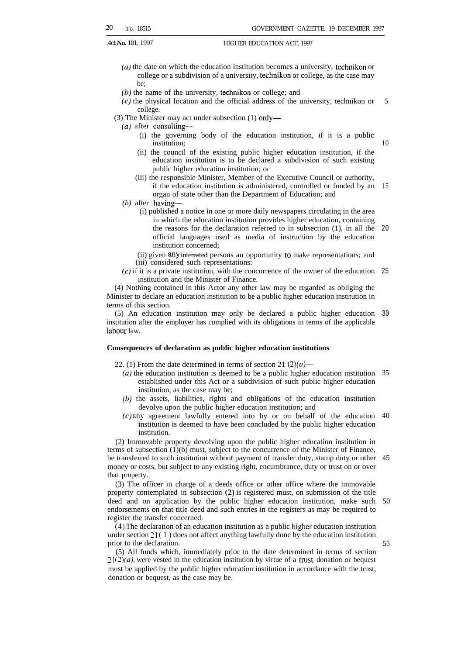- *(a)* the date on which the education institution becomes a university, technikon or college or a subdivision of a university, technikon or college, as the case may be;
- (b) the name of the university, technikon or college; and
- (c) the physical location and the official address of the university, technikon or college. 5
- (3) The Minister may act under subsection (1) only—
	- (a) after consulting—
		- (i) the governing body of the education institution, if it is a public institution;

10

55

- (ii) the council of the existing public higher education institution, if the education institution is to be declared a subdivision of such existing public higher education institution; or
- (iii) the responsible Minister, Member of the Executive Council or authority, if the education institution is administered, controlled or funded by an 15 organ of state other than the Department of Education; and
- *(b)* after having—
	- (i) published a notice in one or more daily newspapers circulating in the area in which the education institution provides higher education, containing the reasons for the declaration referred to in subsection (1), in all the official languages used as media of instruction by the education institution concerned; 20
	- (ii) given any interested persons an opportunity to make representations; and (iii) considered such representations;
- (c) if it is a private institution, with the concurrence of the owner of the education 25 institution and the Minister of Finance.

(4) Nothing contained in this Actor any other law may be regarded as obliging the Minister to declare an education institution to be a public higher education institution in terms of this section.

(5) An education institution may only be declared a public higher education 30 institution after the employer has complied with its obligations in terms of the applicable labour law.

#### **Consequences of declaration as public higher education institutions**

22. (1) From the date determined in terms of section 21 *(2)(a)—*

- *(a)* the education institution is deemed to be a public higher education institution 35 established under this Act or a subdivision of such public higher education institution, as the case may be;
- *(b)* the assets, liabilities, rights and obligations of the education institution devolve upon the public higher education institution; and
- (c) any agreement lawfully entered into by or on behalf of the education 40 institution is deemed to have been concluded by the public higher education institution.

(2) Immovable property devolving upon the public higher education institution in terms of subsection (1)(b) must, subject to the concurrence of the Minister of Finance, be transferred to such institution without payment of transfer duty, stamp duty or other 45 money or costs, but subject to any existing right, encumbrance, duty or trust on or over that property.

(3) The officer in charge of a deeds office or other office where the immovable property contemplated in subsection (2) is registered must, on submission of the title deed and on application by the public higher education institution, make such endorsements on that title deed and such entries in the registers as may be required to register the transfer concerned. 50

 $(4)$  The declaration of an education institution as a public higher education institution under section  $21(1)$  does not affect anything lawfully done by the education institution prior to the declaration.

(5) All funds which, immediately prior to the date determined in terms of section  $21(2)(a)$ , were vested in the education institution by virtue of a trust, donation or bequest must be applied by the public higher education institution in accordance with the trust, donation or bequest, as the case may be.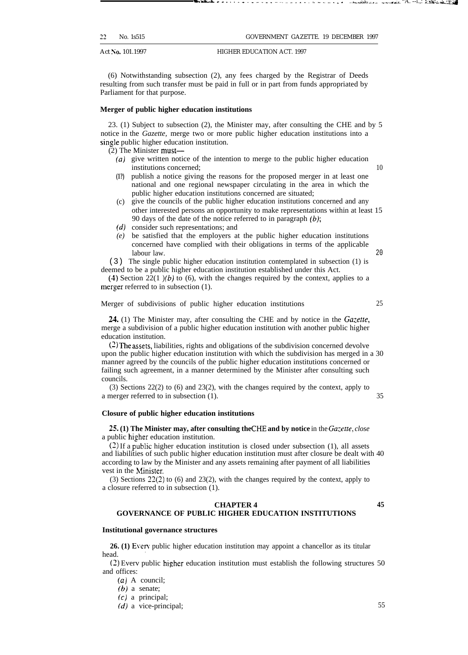| 22 | No. 1s515 | GOVERNMENT GAZETTE, 19 DECEMBER 1997 |  |  |
|----|-----------|--------------------------------------|--|--|
|    |           |                                      |  |  |

-— . . . . . . . . . . . . . \_. . . . . . . . . . . . . . \_A ,&&., ..\_ . . . . ..A.. "A. --i.,: :-xti.& \*"Z4

(6) Notwithstanding subsection (2), any fees charged by the Registrar of Deeds resulting from such transfer must be paid in full or in part from funds appropriated by Parliament for that purpose.

#### **Merger of public higher education institutions**

23. (1) Subject to subsection (2), the Minister may, after consulting the CHE and by 5 notice in the *Gazette,* merge two or more public higher education institutions into a single public higher education institution.

(2) The Minister must—

- (a) give written notice of the intention to merge to the public higher education institutions concerned; 10
- **(1?)** publish a notice giving the reasons for the proposed merger in at least one national and one regional newspaper circulating in the area in which the public higher education institutions concerned are situated;
- (c) give the councils of the public higher education institutions concerned and any other interested persons an opportunity to make representations within at least 15 90 days of the date of the notice referred to in paragraph  $(b)$ ;
- *(d)* consider such representations; and
- *(e)* be satisfied that the employers at the public higher education institutions concerned have complied with their obligations in terms of the applicable labour law. 20

(3) The single public higher education institution contemplated in subsection (1) is deemed to be a public higher education institution established under this Act.

(4) Section 22(1)(b) to (6), with the changes required by the context, applies to a merger referred to in subsection (1).

#### Merger of subdivisions of public higher education institutions 25

24. (1) The Minister may, after consulting the CHE and by notice in the *Gazeffe,* merge a subdivision of a public higher education institution with another public higher education institution.

 $(2)$  The assets, liabilities, rights and obligations of the subdivision concerned devolve upon the public higher education institution with which the subdivision has merged in a 30 manner agreed by the councils of the public higher education institutions concerned or failing such agreement, in a manner determined by the Minister after consulting such councils.

(3) Sections 22(2) to (6) and 23(2), with the changes required by the context, apply to a merger referred to in subsection (1). 35

#### **Closure of public higher education institutions**

25. (1) The Minister may, after consulting the CHE and by notice in the *Gazette*, *close* a public higher education institution.

 $(2)$  If a public higher education institution is closed under subsection (1), all assets and liabilities of such public higher education institution must after closure be dealt with 40 according to law by the Minister and any assets remaining after payment of all liabilities vest in the Minister.

(3) Sections 22(2) to (6) and 23(2), with the changes required by the context, apply to a closure referred to in subsection (1).

#### **CHAPTER 4 45**

### **GOVERNANCE OF PUBLIC HIGHER EDUCATION INSTITUTIONS**

#### **Institutional governance structures**

**26. (1) Every public higher education institution may appoint a chancellor as its titular** head.

(2) Everv public higher education institution must establish the following structures 50 and offices:

*(a)* A council;

*(b)* a senate;

(c) a principal;

*(d)* a vice-principal; 55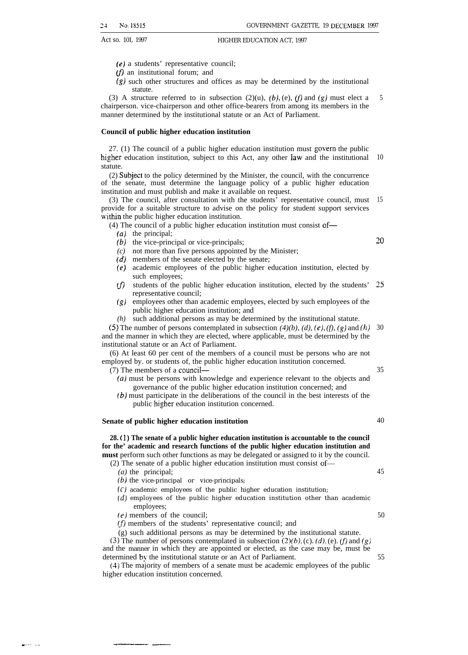- (e) a students' representative council;
- $(f)$  an institutional forum; and
- $(g)$  such other structures and offices as may be determined by the institutional statute.

(3) A structure referred to in subsection (2)(u), (b), (e), (f) and (g) must elect a chairperson. vice-chairperson and other office-bearers from among its members in the manner determined by the institutional statute or an Act of Parliament. 5

#### **Council of public higher education institution**

27. (1) The council of a public higher education institution must govern the public higher education institution, subject to this Act, any other law and the institutional statute. 10

(2) Subject to the policy determined by the Minister, the council, with the concurrence of the senate, must determine the language policy of a public higher education institution and must publish and make it available on request.

(3) The council, after consultation with the students' representative council, must provide for a suitable structure to advise on the policy for student support services within the public higher education institution. 15

(4) The council of a public higher education institution must consist of—

- *(a)* the principal;
- *(b)* the vice-principal or vice-principals;
- *(c)* not more than five persons appointed by the Minister;
- *(d)* members of the senate elected by the senate;
- *(e)* academic employees of the public higher education institution, elected by such employees;
- *m* students of the public higher education institution, elected by the students' 25 representative council;
- *(g)* employees other than academic employees, elected by such employees of the public higher education institution; and
- *(h)* such additional persons as may be determined by the institutional statute.

(5) The number of persons contemplated in subsection  $(4)(b)$ ,  $(d)$ ,  $(e)$ ,  $(f)$ ,  $(g)$  and  $(h)$  30 and the manner in which they are elected, where applicable, must be determined by the institutional statute or an Act of Parliament.

(6) At least 60 per cent of the members of a council must be persons who are not employed by. or students of, the public higher education institution concerned.

(7) The members of a council—

- *(a)* must be persons with knowledge and experience relevant to the objects and governance of the public higher education institution concerned; and
- *(b)* must participate in the deliberations of the council in the best interests of the public higher education institution concerned.

#### **Senate of public higher education institution**

**28. ( 1 ) The senate of a public higher education institution is accountable to the council for the' academic and research functions of the public higher education institution and must** perform such other functions as may be delegated or assigned to it by the council.

(2) The senate of a public higher education institution must consist of—

*(a)* the principal;

s-.— ..— \_—\_\_. \_\_—

- *(b)* the vice-principal or vice-principals;
- (c) academic employees of the public higher education institution;
- (d) employees of the public higher education institution other than academic employees;
- $(e)$  members of the council;
- $(f)$  members of the students' representative council; and
- (g) such additional persons as may be determined by the institutional statute.

(3) The number of persons contemplated in subsection  $(2)(b)$ , (c). (d), (e). (f) and (g) and the manner in which they are appointed or elected, as the case may be, must be determined by the institutional statute or an Act of Parliament.

(4) The majority of members of a senate must be academic employees of the public higher education institution concerned.

~o

35

40

45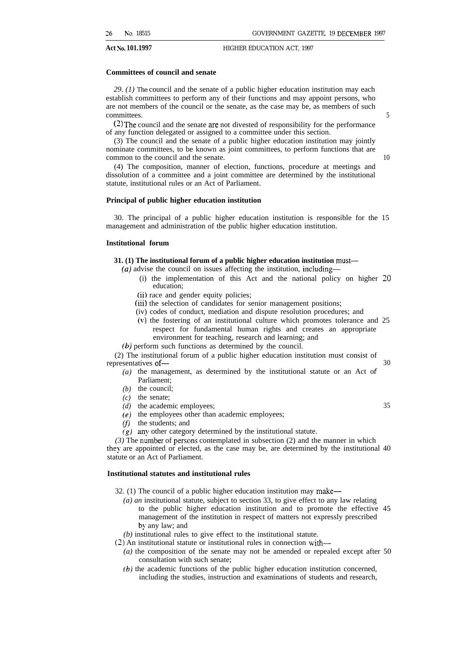#### **Committees of council and senate**

*29. (1)* The council and the senate of a public higher education institution may each establish committees to perform any of their functions and may appoint persons, who are not members of the council or the senate, as the case may be, as members of such committees. 5

 $(2)$  The council and the senate are not divested of responsibility for the performance of any function delegated or assigned to a committee under this section.

(3) The council and the senate of a public higher education institution may jointly nominate committees, to be known as joint committees, to perform functions that are common to the council and the senate. 10

(4) The composition, manner of election, functions, procedure at meetings and dissolution of a committee and a joint committee are determined by the institutional statute, institutional rules or an Act of Parliament.

#### **Principal of public higher education institution**

30. The principal of a public higher education institution is responsible for the 15 management and administration of the public higher education institution.

#### **Institutional forum**

#### **31. (1) The institutional forum of a public higher education institution must—**

- *(a)* advise the council on issues affecting the institution, including—
	- (i) the implementation of this Act and the national policy on higher 20 education;
	- (ii) race and gender equity policies;
	- (iii) the selection of candidates for senior management positions;
	- (iv) codes of conduct, mediation and dispute resolution procedures; and
	- (v) the fostering of an institutional culture which promotes tolerance and 25 respect for fundamental human rights and creates an appropriate environment for teaching, research and learning; and
- *(b)* perform such functions as determined by the council.

(2) The institutional forum of a public higher education institution must consist of representatives of — 30

- $(a)$  the management, as determined by the institutional statute or an Act of Parliament;
- *(b)* the council;
- *(c)* the senate;
- *(d)* the academic employees; 35
- *(e)* the employees other than academic employees;
- *(f)* the students; and
- *(g)* any other category determined by the institutional statute.

 $(3)$  The number of persons contemplated in subsection  $(2)$  and the manner in which they are appointed or elected, as the case may be, are determined by the institutional 40 statute or an Act of Parliament.

#### **Institutional statutes and institutional rules**

32. (1) The council of a public higher education institution may make—

- *(a) an* institutional statute, subject to section 33, to give effect to any law relating to the public higher education institution and to promote the effective 45 management of the institution in respect of matters not expressly prescribed by any law; and
- *(b)* institutional rules to give effect to the institutional statute.
- (2) An institutional statute or institutional rules in connection with—
	- *(a)* the composition of the senate may not be amended or repealed except after 50 consultation with such senate;
	- *(b)* the academic functions of the public higher education institution concerned, including the studies, instruction and examinations of students and research,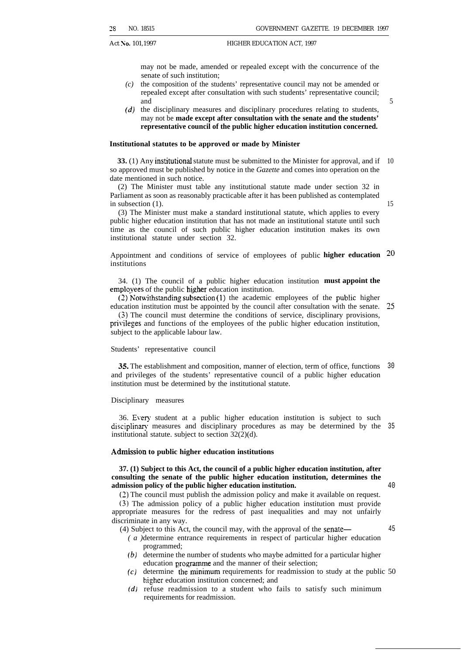may not be made, amended or repealed except with the concurrence of the senate of such institution;

- *(c)* the composition of the students' representative council may not be amended or repealed except after consultation with such students' representative council; and
- *(d)* the disciplinary measures and disciplinary procedures relating to students, may not be **made except after consultation with the senate and the students' representative council of the public higher education institution concerned.**

#### **Institutional statutes to be approved or made by Minister**

**33.** (1) Any institutional statute must be submitted to the Minister for approval, and if 10 so approved must be published by notice in the *Gazette* and comes into operation on the date mentioned in such notice.

(2) The Minister must table any institutional statute made under section 32 in Parliament as soon as reasonably practicable after it has been published as contemplated in subsection (1).

15

5

(3) The Minister must make a standard institutional statute, which applies to every public higher education institution that has not made an institutional statute until such time as the council of such public higher education institution makes its own institutional statute under section 32.

Appointment and conditions of service of employees of public **higher education**  $20$ institutions

34. (1) The council of a public higher education institution **must appoint the** employees of the public higher education institution.

 $(2)$  Notwithstanding subsection  $(1)$  the academic employees of the public higher education institution must be appointed by the council after consultation with the senate. 25

(3) The council must determine the conditions of service, disciplinary provisions, privileges and functions of the employees of the public higher education institution, subject to the applicable labour law.

#### Students' representative council

35. The establishment and composition, manner of election, term of office, functions and privileges of the students' representative council of a public higher education institution must be determined by the institutional statute. 30

#### Disciplinary measures

36. Every student at a public higher education institution is subject to such disciplinary measures and disciplinary procedures as may be determined by the 35 institutional statute. subject to section 32(2)(d).

#### **Adtnksion to public higher education institutions**

#### **37. (1) Subject to this Act, the council of a public higher education institution, after consulting the senate of the public higher education institution, determines the admission policy of the public higher education institution.**

**(2)** The council must publish the admission policy and make it available on request.

(3) The admission policy of a public higher education institution must provide appropriate measures for the redress of past inequalities and may not unfairly discriminate in any way.

45

- (4) Subject to this Act, the council may, with the approval of the senate— *( a* ) determine entrance requirements in respect of particular higher education programmed;
	- *(b)* determine the number of students who maybe admitted for a particular higher education programme and the manner of their selection;
	- $(c)$  determine the minimum requirements for readmission to study at the public 50 higher education institution concerned; and
	- *(d)* refuse readmission to a student who fails to satisfy such minimum requirements for readmission.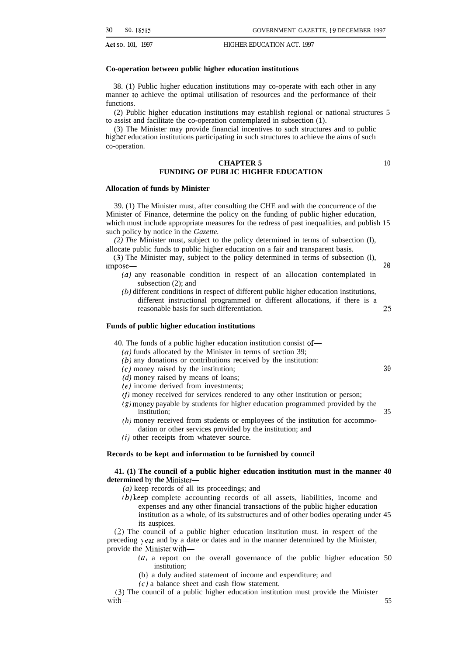#### **Co-operation between public higher education institutions**

38. (1) Public higher education institutions may co-operate with each other in any manner to achieve the optimal utilisation of resources and the performance of their functions.

(2) Public higher education institutions may establish regional or national structures 5 to assist and facilitate the co-operation contemplated in subsection (1).

(3) The Minister may provide financial incentives to such structures and to public higher education institutions participating in such structures to achieve the aims of such co-operation.

#### **CHAPTER 5 FUNDING OF PUBLIC HIGHER EDUCATION**

#### **Allocation of funds by Minister**

39. (1) The Minister must, after consulting the CHE and with the concurrence of the Minister of Finance, determine the policy on the funding of public higher education, which must include appropriate measures for the redress of past inequalities, and publish 15 such policy by notice in the *Gazette.*

*(2) The* Minister must, subject to the policy determined in terms of subsection (l), allocate public funds to public higher education on a fair and transparent basis.

(3) The Minister may, subject to the policy determined in terms of subsection (l), impose— 20

- *(a)* any reasonable condition in respect of an allocation contemplated in subsection (2); and
- (b) different conditions in respect of different public higher education institutions, different instructional programmed or different allocations, if there is a reasonable basis for such differentiation. 25

#### **Funds of public higher education institutions**

40. The funds of a public higher education institution consist of—

*(a)* funds allocated by the Minister in terms of section 39;

(b) any donations or contributions received by the institution:

(c) money raised by the institution;

*(d)* money raised by means of loans;

(e) income derived from investments;

 $(f)$  money received for services rendered to any other institution or person;

- (g) money payable by students for higher education programmed provided by the institution; 35
- $(h)$  money received from students or employees of the institution for accommodation or other services provided by the institution; and

(i) other receipts from whatever source.

#### **Records to be kept and information to be furnished by council**

#### **41. (1) The council of a public higher education institution must in the manner 40 determined by the Minister—**

*(a)* keep records of all its proceedings; and

(b) keep complete accounting records of all assets, liabilities, income and expenses and any other financial transactions of the public higher education institution as a whole, of its substructures and of other bodies operating under 45 its auspices.

(2) The council of a public higher education institution must. in respect of the preceding vear and by a date or dates and in the manner determined by the Minister, provide the Minister with-

- (a) a report on the overall governance of the public higher education 50 institution;
- (b} a duly audited statement of income and expenditure; and
- $(c)$  a balance sheet and cash flow statement.

(3) The council of a public higher education institution must provide the Minister with — 55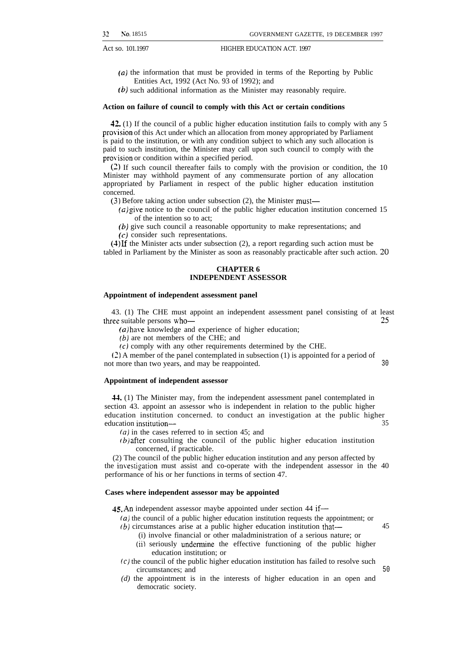- $(a)$  the information that must be provided in terms of the Reporting by Public Entities Act, 1992 (Act No. 93 of 1992); and
- (b) such additional information as the Minister may reasonably require.

#### **Action on failure of council to comply with this Act or certain conditions**

42. (1) If the council of a public higher education institution fails to comply with any 5 provision of this Act under which an allocation from money appropriated by Parliament is paid to the institution, or with any condition subject to which any such allocation is paid to such institution, the Minister may call upon such council to comply with the provision or condition within a specified period.

(2) If such council thereafter fails to comply with the provision or condition, the 10 Minister may withhold payment of any commensurate portion of any allocation appropriated by Parliament in respect of the public higher education institution concerned.

(3) Before taking action under subsection (2), the Minister must—

- $(a)$  give notice to the council of the public higher education institution concerned 15 of the intention so to act;
- (b) give such council a reasonable opportunity to make representations; and
- (c) consider such representations.

(4) Lf the Minister acts under subsection (2), a report regarding such action must be tabled in Parliament by the Minister as soon as reasonably practicable after such action. 20

#### **CHAPTER 6 INDEPENDENT ASSESSOR**

#### **Appointment of independent assessment panel**

43. (1) The CHE must appoint an independent assessment panel consisting of at least three suitable persons who— 25

*(a)* have knowledge and experience of higher education;

- $(b)$  are not members of the CHE; and
- (c) comply with any other requirements determined by the CHE.

(2) A member of the panel contemplated in subsection (1) is appointed for a period of not more than two years, and may be reappointed. 30

#### **Appointment of independent assessor**

44. (1) The Minister may, from the independent assessment panel contemplated in section 43. appoint an assessor who is independent in relation to the public higher education institution concerned. to conduct an investigation at the public higher education institution— 35

*fa)* in the cases referred to in section 45; and

 $(b)$  after consulting the council of the public higher education institution concerned, if practicable.

(2) The council of the public higher education institution and any person affected by the investigation must assist and co-operate with the independent assessor in the 40 performance of his or her functions in terms of section 47.

#### **Cases where independent assessor may be appointed**

4S. An independent assessor maybe appointed under section 44 if—

- $(a)$  the council of a public higher education institution requests the appointment; or (b) circumstances arise at a public higher education institution that— 45
	- (i) involve financial or other maladministration of a serious nature; or
	- (ii) seriously undermine the effective functioning of the public higher education institution; or
- $(c)$  the council of the public higher education institution has failed to resolve such circumstances; and 50
- *(d)* the appointment is in the interests of higher education in an open and democratic society.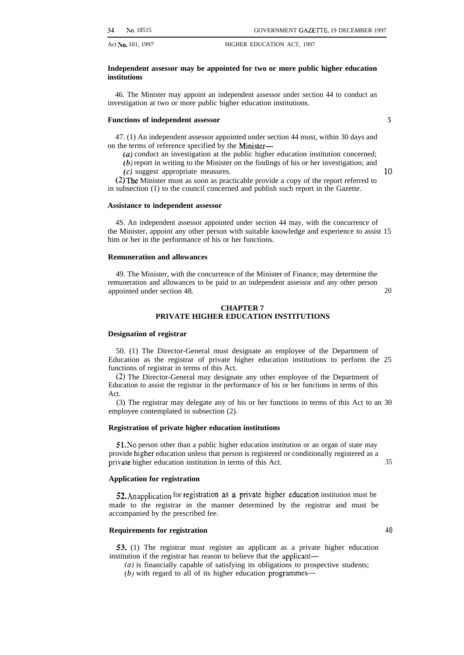#### **Independent assessor may be appointed for two or more public higher education institutions**

46. The Minister may appoint an independent assessor under section 44 to conduct an investigation at two or more public higher education institutions.

#### **Functions of independent assessor 5**

47. (1) An independent assessor appointed under section 44 must, within 30 days and on the terms of reference specified by the Minister—

 $(a)$  conduct an investigation at the public higher education institution concerned;

(b) report in writing to the Minister on the findings of his or her investigation; and

(c) suggest appropriate measures. 10

(2) The Minister must as soon as practicable provide a copy of the report referred to in subsection (1) to the council concerned and publish such report in the Gazette.

#### **Assistance to independent assessor**

4S. An independent assessor appointed under section 44 may, with the concurrence of the Minister, appoint any other person with suitable knowledge and experience to assist 15 him or her in the performance of his or her functions.

#### **Remuneration and allowances**

49. The Minister, with the concurrence of the Minister of Finance, may determine the remuneration and allowances to be paid to an independent assessor and any other person appointed under section 48. 20

#### **CHAPTER 7 PRIVATE HIGHER EDUCATION INSTITUTIONS**

#### **Designation of registrar**

50. (1) The Director-General must designate an employee of the Department of Education as the registrar of private higher education institutions to perform the 25 functions of registrar in terms of this Act.

(2) The Director-General may designate any other employee of the Department of Education to assist the registrar in the performance of his or her functions in terms of this Act.

(3) The registrar may delegate any of his or her functions in terms of this Act to an 30 employee contemplated in subsection (2).

#### **Registration of private higher education institutions**

**51.** No person other than a public higher education institution or an organ of state may provide higher education unless that person is registered or conditionally registered as a private higher education institution in terms of this Act. 35

#### **Application for registration**

52. An application for registration as a private higher education institution must be made to the registrar in the manner determined by the registrar and must be accompanied by the prescribed fee.

#### **Requirements for registration** 40

53. (1) The registrar must register an applicant as a private higher education institution if the registrar has reason to believe that the applicant—

*(a)* is financially capable of satisfying its obligations to prospective students; (b) with regard to all of its higher education programmes—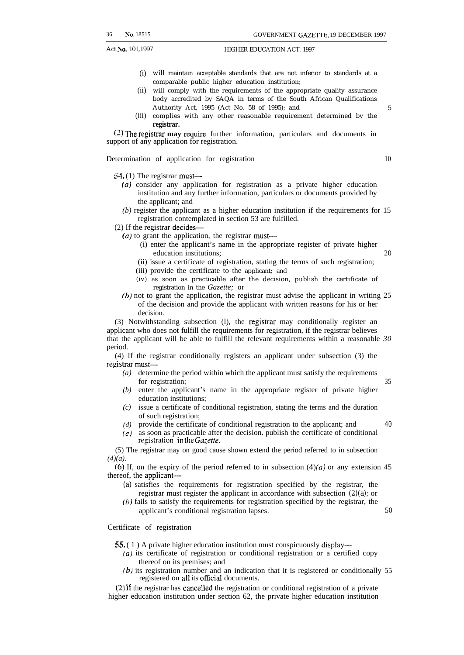- (i) will maintain acceptable standards that are not inferior to standards at a comparable public higher education institution;
- (ii) will comply with the requirements of the appropriate quality assurance body accredited by SAQA in terms of the South African Qualifications Authority Act, 1995 (Act No. 58 of 1995); and 5
- (iii) complies with any other reasonable requirement determined by the **registrar.**

(2) The registrar may require further information, particulars and documents in support of any application for registration.

Determination of application for registration 10

54. (1) The registrar must—

- ( $a$ ) consider any application for registration as a private higher education institution and any further information, particulars or documents provided by the applicant; and
- *(b)* register the applicant as a higher education institution if the requirements for 15 registration contemplated in section 53 are fulfilled.
- (2) If the registrar decides—
	- *(a)* to grant the application, the registrar must—
		- (i) enter the applicant's name in the appropriate register of private higher education institutions: 20
		- (ii) issue a certificate of registration, stating the terms of such registration;
		- (iii) provide the certificate to the applicant; and
		- (iv) as soon as practicable after the decision, publish the certificate of registration in the *Gazette;* or
	- *(b)* not to grant the application, the registrar must advise the applicant in writing 25 of the decision and provide the applicant with written reasons for his or her decision.

(3) Notwithstanding subsection (1), the registrar may conditionally register an applicant who does not fulfill the requirements for registration, if the registrar believes that the applicant will be able to fulfill the relevant requirements within a reasonable *30* period.

(4) If the registrar conditionally registers an applicant under subsection (3) the registrar must-

- *(a)* determine the period within which the applicant must satisfy the requirements for registration; 35
- *(b)* enter the applicant's name in the appropriate register of private higher education institutions;
- *(c)* issue a certificate of conditional registration, stating the terms and the duration of such registration;
- *(d)* provide the certificate of conditional registration to the applicant; and 40
- $(e)$  as soon as practicable after the decision. publish the certificate of conditional registration in the Gazette.

(5) The registrar may on good cause shown extend the period referred to in subsection *(4)(a).*

(6) If, on the expiry of the period referred to in subsection  $(4)(a)$  or any extension 45 thereof, the applicant—

- *(a)* satisfies the requirements for registration specified by the registrar, the registrar must register the applicant in accordance with subsection *(2)(a);* or
- *(b)* fails to satisfy the requirements for registration specified by the registrar, the applicant's conditional registration lapses. 50

Certificate of registration

55. ( 1 ) A private higher education institution must conspicuously display—

- *(a)* its certificate of registration or conditional registration or a certified copy thereof on its premises; and
- *(b)* its registration number and an indication that it is registered or conditionally 55 registered on all its official documents.

(2) If the registrar has cancelled the registration or conditional registration of a private higher education institution under section 62, the private higher education institution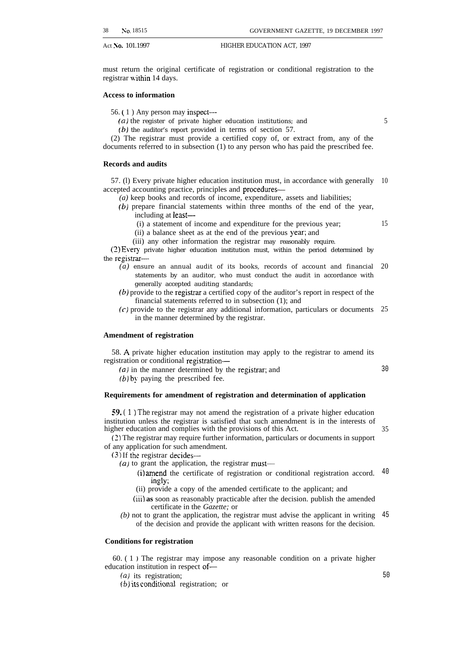must return the original certificate of registration or conditional registration to the registrar within 14 days.

#### **Access to information**

56. ( 1 ) Any person may inspect—

*(a)* the register of private higher education institutions; and

 $(b)$  the auditor's report provided in terms of section 57.

(2) The registrar must provide a certified copy of, or extract from, any of the documents referred to in subsection (1) to any person who has paid the prescribed fee.

#### **Records and audits**

57. (l) Every private higher education institution must, in accordance with generally 10 accepted accounting practice, principles and procedures—

- *(a)* keep books and records of income, expenditure, assets and liabilities;
- (b) prepare financial statements within three months of the end of the year, including at least—
	- (i) a statement of income and expenditure for the previous year;
	- (ii) a balance sheet as at the end of the previous year; and

(iii) any other information the registrar may reasonably require.

(2) Every private higher education institution must, within the period determined by the registrar—

- *(a)* ensure an annual audit of its books, records of account and financial statements by an auditor, who must conduct the audit in accordance with generally accepted auditing standards; 20
- $(b)$  provide to the registrar a certified copy of the auditor's report in respect of the financial statements referred to in subsection (1); and
- (c) provide to the registrar any additional information, particulars or documents 25 in the manner determined by the registrar.

#### **Amendment of registration**

58. A private higher education institution may apply to the registrar to amend its registration or conditional registration—

 $(a)$  in the manner determined by the registrar; and

*(b)* by paying the prescribed fee.

#### **Requirements for amendment of registration and determination of application**

*59. ( 1 ) The* registrar may not amend the registration of a private higher education institution unless the registrar is satisfied that such amendment is in the interests of higher education and complies with the provisions of this Act.

(2) The registrar may require further information, particulars or documents in support of any application for such amendment.

(3) If the registrar decides—

- *(a)* to grant the application, the registrar must—
	- (i) amend the certificate of registration or conditional registration accord.  $40$ ingly;
	- (ii) provide a copy of the amended certificate to the applicant; and
	- (iii) **as** soon as reasonably practicable after the decision. publish the amended certificate in the *Gazette;* or
- *(b)* not to grant the application, the registrar must advise the applicant in writing of the decision and provide the applicant with written reasons for the decision. 45

#### **Conditions for registration**

60. ( 1 J The registrar may impose any reasonable condition on a private higher education institution in respect of—

 $(a)$  its registration;

(b) its conditional registration; or

5

15

30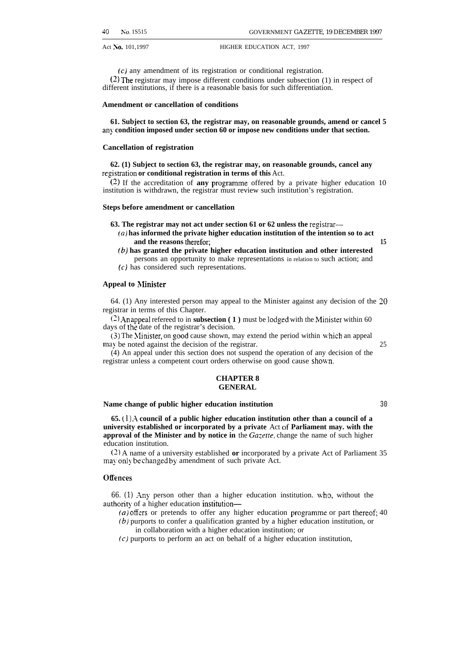(c) any amendment of its registration or conditional registration.  $(2)$  The registrar may impose different conditions under subsection  $(1)$  in respect of different institutions, if there is a reasonable basis for such differentiation.

#### **Amendment or cancellation of conditions**

**61. Subject to section 63, the registrar may, on reasonable grounds, amend or cancel 5 any condition imposed under section 60 or impose new conditions under that section.**

#### **Cancellation of registration**

**62. (1) Subject to section 63, the registrar may, on reasonable grounds, cancel any** registration or conditional registration in terms of this Act.

(~) If the accreditation of **any** programme offered by a private higher education 10 institution is withdrawn, the registrar must review such institution's registration.

#### **Steps before amendment or cancellation**

**63. The registrar may not act under section 61 or 62 unless the registrar—**

- **(u) has informed the private higher education institution of the intention so to act and the reasons therefor**; 15
- **(b) has granted the private higher education institution and other interested** persons an opportunity to make representations in relation to such action; and (c) has considered such representations.

#### **Appeal to hlinister**

64. (1) Any interested person may appeal to the Minister against any decision of the 20 registrar in terms of this Chapter.

(2) An appeal refereed to in **subsection (1)** must be lodged with the Minister within 60 days of the date of the registrar's decision.

(3) The Ylinister, on good cause shown, may extend the period within which an appeal may be noted against the decision of the registrar. 25

(4) An appeal under this section does not suspend the operation of any decision of the registrar unless a competent court orders otherwise on good cause **shown.**

#### **CHAPTER 8 GENERAL**

#### **Name change of public higher education institution** 30

**65. (1) .\ council of a public higher education institution other than a council of a university established or incorporated by a private** Act of **Parliament may. with the approval of the Minister and by notice in** the *Gazette*, change the name of such higher education institution.

(~) A name of a university established **or** incorporated by a private Act of Parliament 35 may only be changed by amendment of such private Act.

#### **Offences**

66. (1) Any person other than a higher education institution. who, without the authority of a higher education institution—

 $(a)$  offers or pretends to offer any higher education programme or part thereof; 40

- (b) purports to confer a qualification granted by a higher education institution, or in collaboration with a higher education institution; or
- (c) purports to perform an act on behalf of a higher education institution,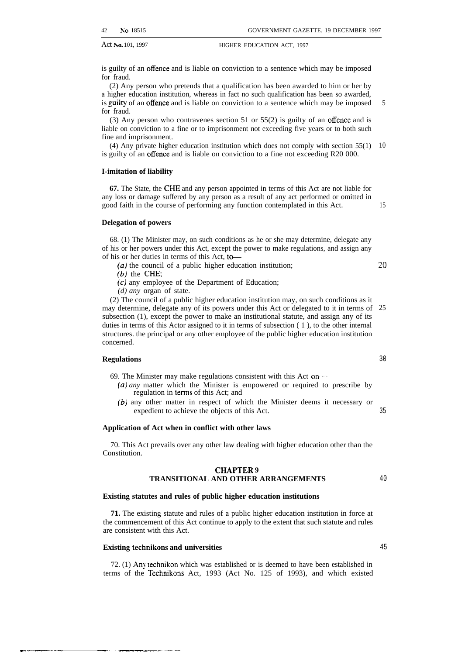is guilty of an offence and is liable on conviction to a sentence which may be imposed for fraud.

(2) Any person who pretends that a qualification has been awarded to him or her by a higher education institution, whereas in fact no such qualification has been so awarded, is guilty of an offence and is liable on conviction to a sentence which may be imposed for fraud.

(3) Any person who contravenes section 51 or 55(2) is guilty of an offence and is liable on conviction to a fine or to imprisonment not exceeding five years or to both such fine and imprisonment.

(4) Any private higher education institution which does not comply with section 55(1) 10 is guilty of an offence and is liable on conviction to a fine not exceeding R20 000.

#### **I-imitation of liability**

**67.** The State, the CHE and any person appointed in terms of this Act are not liable for any loss or damage suffered by any person as a result of any act performed or omitted in good faith in the course of performing any function contemplated in this Act.

**Delegation of powers**

68. (1) The Minister may, on such conditions as he or she may determine, delegate any of his or her powers under this Act, except the power to make regulations, and assign any of his or her duties in terms of this Act, to-

(a) the council of a public higher education institution;

- (b) the CHE;
- (c) any employee of the Department of Education;
- *(d) any* organ of state.

(2) The council of a public higher education institution may, on such conditions as it may determine, delegate any of its powers under this Act or delegated to it in terms of 25 subsection (1), except the power to make an institutional statute, and assign any of its duties in terms of this Actor assigned to it in terms of subsection ( 1 ), to the other internal structures. the principal or any other employee of the public higher education institution concerned.

#### **Regulations**

m—------ —.————.—.—

69. The Minister may make regulations consistent with this Act on—

- *(a) any* matter which the Minister is empowered or required to prescribe by regulation in terms of this Act; and
- (b) any other matter in respect of which the Minister deems it necessary or expedient to achieve the objects of this Act.

#### **Application of Act when in conflict with other laws**

70. This Act prevails over any other law dealing with higher education other than the Constitution.

#### **CEL4PTER 9 TRANSITIONAL AND OTHER ARRANGEMENTS**

#### **Existing statutes and rules of public higher education institutions**

**71.** The existing statute and rules of a public higher education institution in force at the commencement of this Act continue to apply to the extent that such statute and rules are consistent with this Act.

#### **Existing technikons and universities**

72. (1) Any technikon which was established or is deemed to have been established in terms of the Technikons Act, 1993 (Act No. 125 of 1993), and which existed

35

5

15

~o

45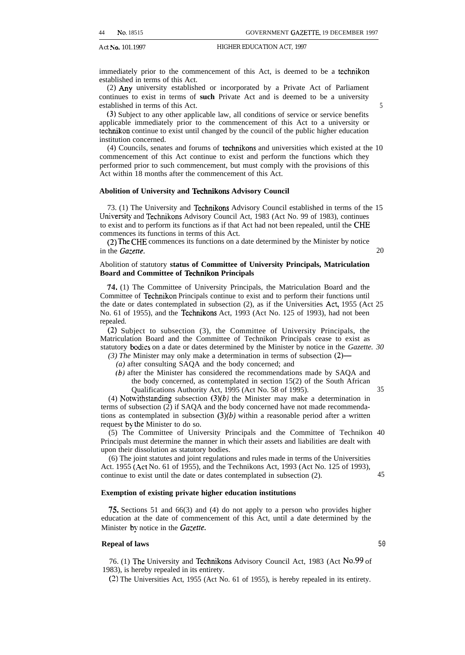immediately prior to the commencement of this Act, is deemed to be a technikon established in terms of this Act.

(2) Any university established or incorporated by a Private Act of Parliament continues to exist in terms of **such** Private Act and is deemed to be a university established in terms of this Act. 5

(3) Subject to any other applicable law, all conditions of service or service benefits applicable immediately prior to the commencement of this Act to a university or technikon continue to exist until changed by the council of the public higher education institution concerned.

(4) Councils, senates and forums of technikons and universities which existed at the 10 commencement of this Act continue to exist and perform the functions which they performed prior to such commencement, but must comply with the provisions of this Act within 18 months after the commencement of this Act.

#### **Abolition of University and Technikons Advisory Council**

73. (1) The University and Technikons Advisory Council established in terms of the 15 University and Technikons Advisory Council Act, 1983 (Act No. 99 of 1983), continues to exist and to perform its functions as if that Act had not been repealed, until the CHE commences its functions in terms of this Act.

(2) The CHE commences its functions on a date determined by the Minister by notice in the *Gazette*. 20

#### Abolition of statutory **status of Committee of University Principals, Matriculation Board and Committee of Technikon Principals**

74. (1) The Committee of University Principals, the Matriculation Board and the Committee of Technikon Principals continue to exist and to perform their functions until the date or dates contemplated in subsection (2), as if the Universities Act, 1955 (Act 25 No. 61 of 1955), and the Technikons Act, 1993 (Act No. 125 of 1993), had not been repealed.

(2) Subject to subsection (3), the Committee of University Principals, the Matriculation Board and the Committee of Technikon Principals cease to exist as statutory bodies on a date or dates determined by the Minister by notice in the *Gazette*. 30

*(3) The* Minister may only make a determination in terms of subsection (2)—

*(a)* after consulting SAQA and the body concerned; and

(b) after the Minister has considered the recommendations made by SAQA and the body concerned, as contemplated in section 15(2) of the South African Qualifications Authority Act, 1995 (Act No. 58 of 1995). 35

(4) Notwithstanding subsection  $(3)(b)$  the Minister may make a determination in terms of subsection (2) if SAQA and the body concerned have not made recommendations as contemplated in subsection  $(3)(b)$  within a reasonable period after a written request by the Minister to do so.

(5) The Committee of University Principals and the Committee of Technikon 40 Principals must determine the manner in which their assets and liabilities are dealt with upon their dissolution as statutory bodies.

(6) The joint statutes and joint regulations and rules made in terms of the Universities Act. 1955 (Act No. 61 of 1955), and the Technikons Act, 1993 (Act No. 125 of 1993), continue to exist until the date or dates contemplated in subsection (2). 45

#### **Exemption of existing private higher education institutions**

75. Sections 51 and 66(3) and (4) do not apply to a person who provides higher education at the date of commencement of this Act, until a date determined by the Minister by notice in the *Gazette*.

#### **Repeal of laws** 50

76. (1) The University and Technikons Advisory Council Act, 1983 (Act No. 99 of 1983), is hereby repealed in its entirety.

(2) The Universities Act, 1955 (Act No. 61 of 1955), is hereby repealed in its entirety.